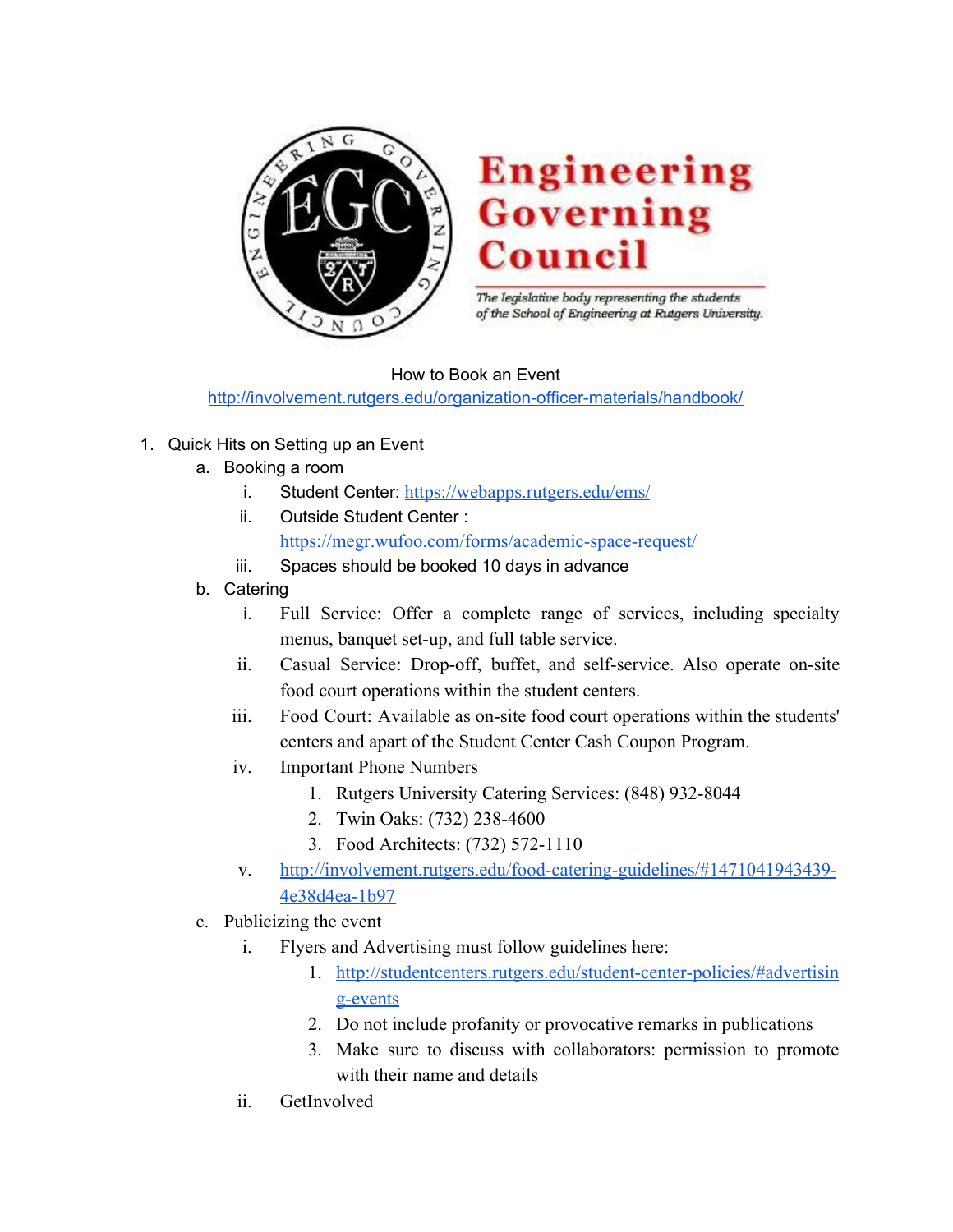

## **Engineering Governing** Counc

The legislative body representing the students of the School of Engineering at Rutgers University.

How to Book an Event <http://involvement.rutgers.edu/organization-officer-materials/handbook/>

- 1. Quick Hits on Setting up an Event
	- a. Booking a room
		- i. Student Center: <https://webapps.rutgers.edu/ems/>
		- ii. Outside Student Center : <https://megr.wufoo.com/forms/academic-space-request/>
		- iii. Spaces should be booked 10 days in advance
	- b. Catering
		- i. Full Service: Offer a complete range of services, including specialty menus, banquet set-up, and full table service.
		- ii. Casual Service: Drop-off, buffet, and self-service. Also operate on-site food court operations within the student centers.
		- iii. Food Court: Available as on-site food court operations within the students' centers and apart of the Student Center Cash Coupon Program.
		- iv. Important Phone Numbers
			- 1. Rutgers University Catering Services: (848) 932-8044
			- 2. Twin Oaks: (732) 238-4600
			- 3. Food Architects: (732) 572-1110
		- v. [http://involvement.rutgers.edu/food-catering-guidelines/#1471041943439-](http://involvement.rutgers.edu/food-catering-guidelines/#1471041943439-4e38d4ea-1b97) [4e38d4ea-1b97](http://involvement.rutgers.edu/food-catering-guidelines/#1471041943439-4e38d4ea-1b97)
	- c. Publicizing the event
		- i. Flyers and Advertising must follow guidelines here:
			- 1. [http://studentcenters.rutgers.edu/student-center-policies/#advertisin](http://studentcenters.rutgers.edu/student-center-policies/#advertising-events) [g-events](http://studentcenters.rutgers.edu/student-center-policies/#advertising-events)
			- 2. Do not include profanity or provocative remarks in publications
			- 3. Make sure to discuss with collaborators: permission to promote with their name and details
		- ii. GetInvolved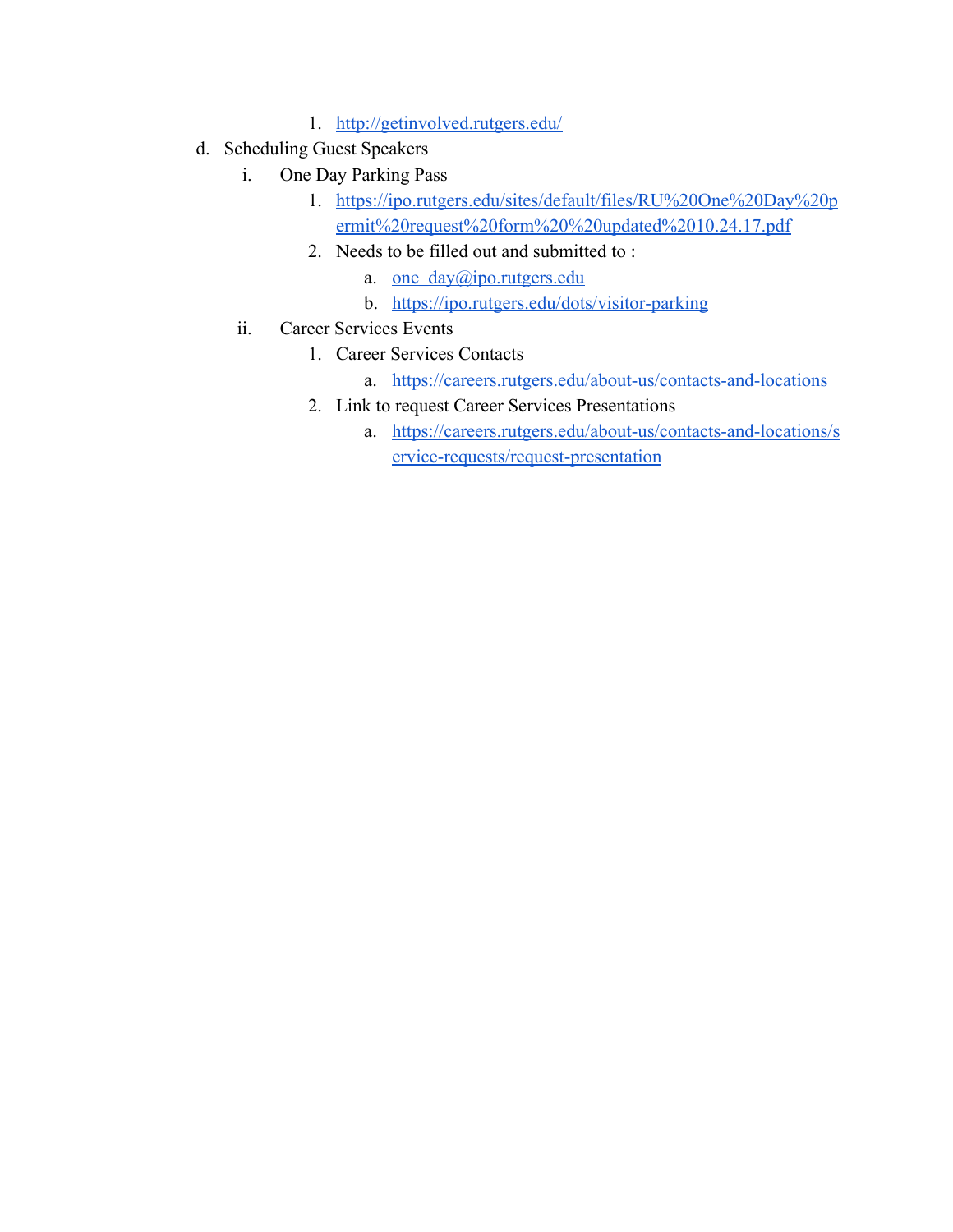- 1. <http://getinvolved.rutgers.edu/>
- d. Scheduling Guest Speakers
	- i. One Day Parking Pass
		- 1. [https://ipo.rutgers.edu/sites/default/files/RU%20One%20Day%20p](https://ipo.rutgers.edu/sites/default/files/RU%20One%20Day%20permit%20request%20form%20%20updated%2010.24.17.pdf) [ermit%20request%20form%20%20updated%2010.24.17.pdf](https://ipo.rutgers.edu/sites/default/files/RU%20One%20Day%20permit%20request%20form%20%20updated%2010.24.17.pdf)
		- 2. Needs to be filled out and submitted to :
			- a. one day@ipo.rutgers.edu
			- b. <https://ipo.rutgers.edu/dots/visitor-parking>
	- ii. Career Services Events
		- 1. Career Services Contacts
			- a. <https://careers.rutgers.edu/about-us/contacts-and-locations>
		- 2. Link to request Career Services Presentations
			- a. [https://careers.rutgers.edu/about-us/contacts-and-locations/s](https://careers.rutgers.edu/about-us/contacts-and-locations/service-requests/request-presentation) [ervice-requests/request-presentation](https://careers.rutgers.edu/about-us/contacts-and-locations/service-requests/request-presentation)